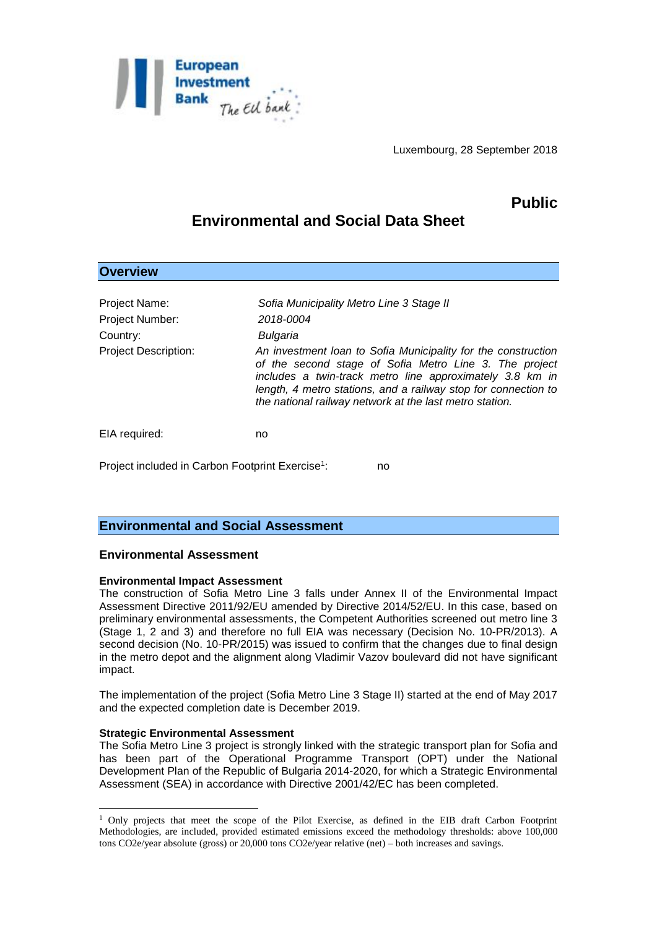

Luxembourg, 28 September 2018

## **Public**

# **Environmental and Social Data Sheet**

| <b>Overview</b>                                                             |                                                                                                                                                                                                                                                                                                                                                                                       |
|-----------------------------------------------------------------------------|---------------------------------------------------------------------------------------------------------------------------------------------------------------------------------------------------------------------------------------------------------------------------------------------------------------------------------------------------------------------------------------|
| Project Name:<br>Project Number:<br>Country:<br><b>Project Description:</b> | Sofia Municipality Metro Line 3 Stage II<br>2018-0004<br>Bulgaria<br>An investment loan to Sofia Municipality for the construction<br>of the second stage of Sofia Metro Line 3. The project<br>includes a twin-track metro line approximately 3.8 km in<br>length, 4 metro stations, and a railway stop for connection to<br>the national railway network at the last metro station. |
| EIA required:                                                               | no                                                                                                                                                                                                                                                                                                                                                                                    |
| Project included in Carbon Footprint Exercise <sup>1</sup> :<br>no          |                                                                                                                                                                                                                                                                                                                                                                                       |

## **Environmental and Social Assessment**

### **Environmental Assessment**

#### **Environmental Impact Assessment**

The construction of Sofia Metro Line 3 falls under Annex II of the Environmental Impact Assessment Directive 2011/92/EU amended by Directive 2014/52/EU. In this case, based on preliminary environmental assessments, the Competent Authorities screened out metro line 3 (Stage 1, 2 and 3) and therefore no full EIA was necessary (Decision No. 10-PR/2013). A second decision (No. 10-PR/2015) was issued to confirm that the changes due to final design in the metro depot and the alignment along Vladimir Vazov boulevard did not have significant impact.

The implementation of the project (Sofia Metro Line 3 Stage II) started at the end of May 2017 and the expected completion date is December 2019.

#### **Strategic Environmental Assessment**

1

The Sofia Metro Line 3 project is strongly linked with the strategic transport plan for Sofia and has been part of the Operational Programme Transport (OPT) under the National Development Plan of the Republic of Bulgaria 2014-2020, for which a Strategic Environmental Assessment (SEA) in accordance with Directive 2001/42/EC has been completed.

<sup>1</sup> Only projects that meet the scope of the Pilot Exercise, as defined in the EIB draft Carbon Footprint Methodologies, are included, provided estimated emissions exceed the methodology thresholds: above 100,000 tons CO2e/year absolute (gross) or 20,000 tons CO2e/year relative (net) – both increases and savings.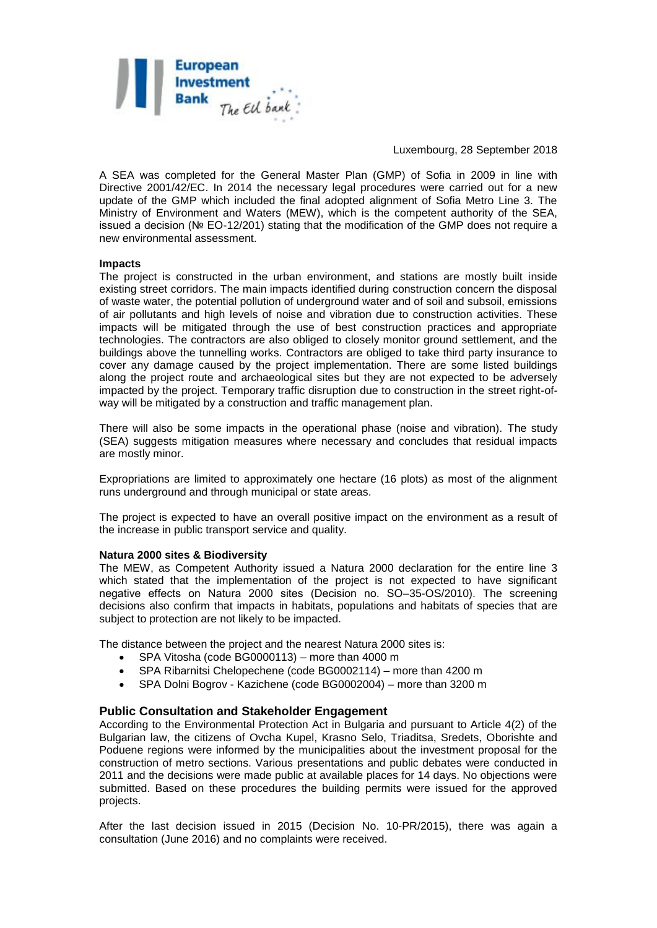

Luxembourg, 28 September 2018

A SEA was completed for the General Master Plan (GMP) of Sofia in 2009 in line with Directive 2001/42/EC. In 2014 the necessary legal procedures were carried out for a new update of the GMP which included the final adopted alignment of Sofia Metro Line 3. The Ministry of Environment and Waters (MEW), which is the competent authority of the SEA, issued a decision (№ EO-12/201) stating that the modification of the GMP does not require a new environmental assessment.

#### **Impacts**

The project is constructed in the urban environment, and stations are mostly built inside existing street corridors. The main impacts identified during construction concern the disposal of waste water, the potential pollution of underground water and of soil and subsoil, emissions of air pollutants and high levels of noise and vibration due to construction activities. These impacts will be mitigated through the use of best construction practices and appropriate technologies. The contractors are also obliged to closely monitor ground settlement, and the buildings above the tunnelling works. Contractors are obliged to take third party insurance to cover any damage caused by the project implementation. There are some listed buildings along the project route and archaeological sites but they are not expected to be adversely impacted by the project. Temporary traffic disruption due to construction in the street right-ofway will be mitigated by a construction and traffic management plan.

There will also be some impacts in the operational phase (noise and vibration). The study (SEA) suggests mitigation measures where necessary and concludes that residual impacts are mostly minor.

Expropriations are limited to approximately one hectare (16 plots) as most of the alignment runs underground and through municipal or state areas.

The project is expected to have an overall positive impact on the environment as a result of the increase in public transport service and quality.

#### **Natura 2000 sites & Biodiversity**

The MEW, as Competent Authority issued a Natura 2000 declaration for the entire line 3 which stated that the implementation of the project is not expected to have significant negative effects on Natura 2000 sites (Decision no. SО–35-OS/2010). The screening decisions also confirm that impacts in habitats, populations and habitats of species that are subject to protection are not likely to be impacted.

The distance between the project and the nearest Natura 2000 sites is:

- SPA Vitosha (code BG0000113) more than 4000 m
- SPA Ribarnitsi Chelopechene (code BG0002114) more than 4200 m
- SPA Dolni Bogrov Kazichene (code BG0002004) more than 3200 m

#### **Public Consultation and Stakeholder Engagement**

According to the Environmental Protection Act in Bulgaria and pursuant to Article 4(2) of the Bulgarian law, the citizens of Ovcha Kupel, Krasno Selo, Triaditsa, Sredets, Oborishte and Poduene regions were informed by the municipalities about the investment proposal for the construction of metro sections. Various presentations and public debates were conducted in 2011 and the decisions were made public at available places for 14 days. No objections were submitted. Based on these procedures the building permits were issued for the approved projects.

After the last decision issued in 2015 (Decision No. 10-PR/2015), there was again a consultation (June 2016) and no complaints were received.